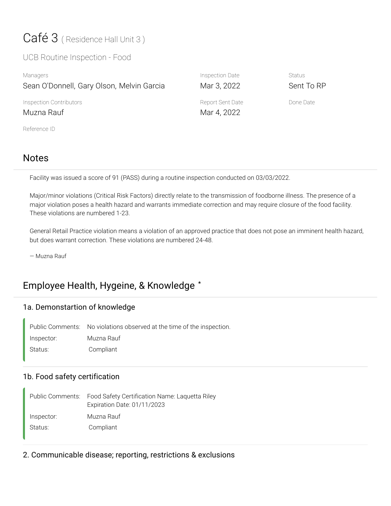# Café 3 (Residence Hall Unit 3)

UCB Routine Inspection - Food

| Managers                                  | Inspection Date                 | <b>Status</b> |
|-------------------------------------------|---------------------------------|---------------|
| Sean O'Donnell, Gary Olson, Melvin Garcia | Mar 3, 2022                     | Sent To RP    |
| Inspection Contributors<br>Muzna Rauf     | Report Sent Date<br>Mar 4, 2022 | Done Date     |
| Reference ID                              |                                 |               |

# Notes

Facility was issued a score of 91 (PASS) during a routine inspection conducted on 03/03/2022.

Major/minor violations (Critical Risk Factors) directly relate to the transmission of foodborne illness. The presence of a major violation poses a health hazard and warrants immediate correction and may require closure of the food facility. These violations are numbered 1-23.

General Retail Practice violation means a violation of an approved practice that does not pose an imminent health hazard, but does warrant correction. These violations are numbered 24-48.

— Muzna Rauf

# Employee Health, Hygeine, & Knowledge **\***

#### 1a. Demonstartion of knowledge

Public Comments: No violations observed at the time of the inspection. Inspector: Muzna Rauf Status: Compliant

#### 1b. Food safety certification

Food Safety Certification Name: Laquetta Riley Expiration Date: 01/11/2023 Public Comments: Inspector: Muzna Rauf Status: Compliant

2. Communicable disease; reporting, restrictions & exclusions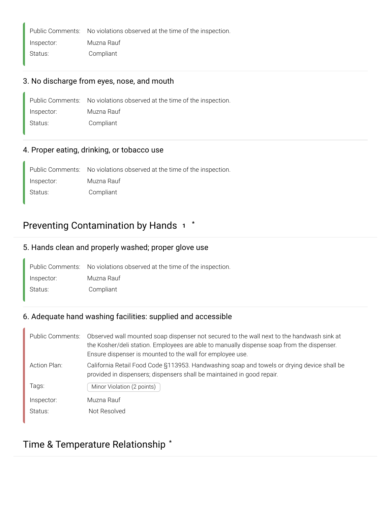Public Comments: No violations observed at the time of the inspection.

Inspector: Muzna Rauf

#### Status: Compliant

#### 3. No discharge from eyes, nose, and mouth

|            | Public Comments: No violations observed at the time of the inspection. |
|------------|------------------------------------------------------------------------|
| Inspector: | Muzna Rauf                                                             |
| Status:    | Compliant                                                              |

#### 4. Proper eating, drinking, or tobacco use

Public Comments: No violations observed at the time of the inspection. Inspector: Muzna Rauf Status: Compliant

# Preventing Contamination by Hands **<sup>1</sup> \***

#### 5. Hands clean and properly washed; proper glove use

|            | Public Comments: No violations observed at the time of the inspection. |
|------------|------------------------------------------------------------------------|
| Inspector: | Muzna Rauf                                                             |
| Status:    | Compliant                                                              |

#### 6. Adequate hand washing facilities: supplied and accessible

| <b>Public Comments:</b> | Observed wall mounted soap dispenser not secured to the wall next to the handwash sink at<br>the Kosher/deli station. Employees are able to manually dispense soap from the dispenser.<br>Ensure dispenser is mounted to the wall for employee use. |
|-------------------------|-----------------------------------------------------------------------------------------------------------------------------------------------------------------------------------------------------------------------------------------------------|
| Action Plan:            | California Retail Food Code §113953. Handwashing soap and towels or drying device shall be<br>provided in dispensers; dispensers shall be maintained in good repair.                                                                                |
| Tags:                   | Minor Violation (2 points)                                                                                                                                                                                                                          |
| Inspector:              | Muzna Rauf                                                                                                                                                                                                                                          |
| Status:                 | Not Resolved                                                                                                                                                                                                                                        |

# Time & Temperature Relationship **\***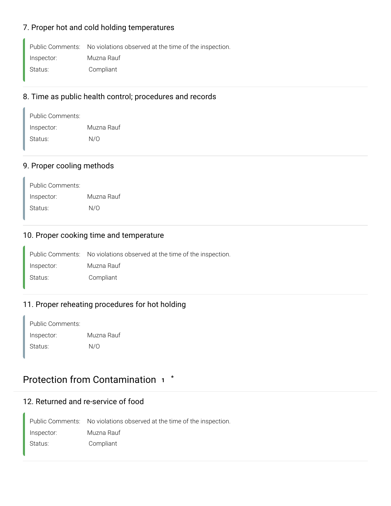#### 7. Proper hot and cold holding temperatures

Public Comments: No violations observed at the time of the inspection.

Inspector: Muzna Rauf

Status: Compliant

### 8. Time as public health control; procedures and records

| Public Comments: |            |
|------------------|------------|
| Inspector:       | Muzna Rauf |
| Status:          | N/O        |

#### 9. Proper cooling methods

| Public Comments: |            |
|------------------|------------|
| Inspector:       | Muzna Rauf |
| Status:          | N/O        |

#### 10. Proper cooking time and temperature

Public Comments: No violations observed at the time of the inspection. Inspector: Muzna Rauf Status: Compliant

#### 11. Proper reheating procedures for hot holding

Public Comments: Inspector: Muzna Rauf Status: N/O

# Protection from Contamination **<sup>1</sup> \***

#### 12. Returned and re-service of food

Public Comments: No violations observed at the time of the inspection. Inspector: Muzna Rauf Status: Compliant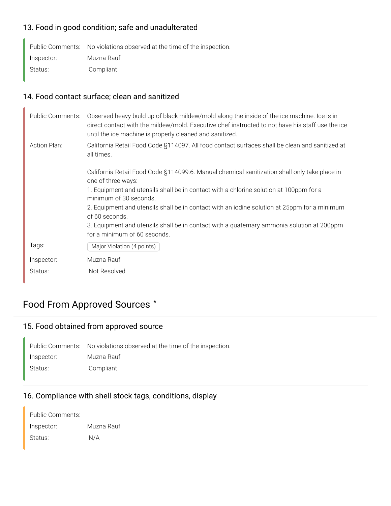#### 13. Food in good condition; safe and unadulterated

Public Comments: No violations observed at the time of the inspection. Inspector: Muzna Rauf Status: Compliant

### 14. Food contact surface; clean and sanitized

| Public Comments: | Observed heavy build up of black mildew/mold along the inside of the ice machine. Ice is in<br>direct contact with the mildew/mold. Executive chef instructed to not have his staff use the ice<br>until the ice machine is properly cleaned and sanitized. |
|------------------|-------------------------------------------------------------------------------------------------------------------------------------------------------------------------------------------------------------------------------------------------------------|
| Action Plan:     | California Retail Food Code §114097. All food contact surfaces shall be clean and sanitized at<br>all times.                                                                                                                                                |
|                  | California Retail Food Code §114099.6. Manual chemical sanitization shall only take place in<br>one of three ways:                                                                                                                                          |
|                  | 1. Equipment and utensils shall be in contact with a chlorine solution at 100ppm for a<br>minimum of 30 seconds.                                                                                                                                            |
|                  | 2. Equipment and utensils shall be in contact with an iodine solution at 25ppm for a minimum<br>of 60 seconds.                                                                                                                                              |
|                  | 3. Equipment and utensils shall be in contact with a quaternary ammonia solution at 200ppm<br>for a minimum of 60 seconds.                                                                                                                                  |
| Tags:            | Major Violation (4 points)                                                                                                                                                                                                                                  |
| Inspector:       | Muzna Rauf                                                                                                                                                                                                                                                  |
| Status:          | Not Resolved                                                                                                                                                                                                                                                |

# Food From Approved Sources **\***

# 15. Food obtained from approved source

Public Comments: No violations observed at the time of the inspection. Inspector: Muzna Rauf Status: Compliant

#### 16. Compliance with shell stock tags, conditions, display

| Public Comments: |            |
|------------------|------------|
| Inspector:       | Muzna Rauf |
| Status:          | N/A        |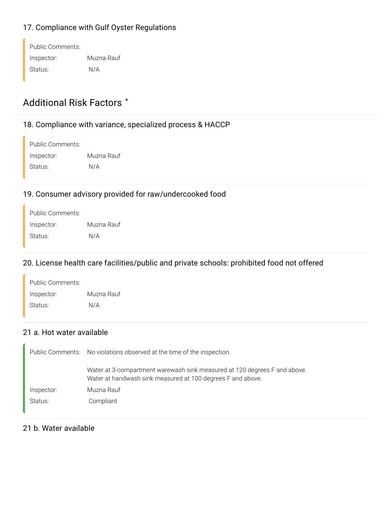### 17. Compliance with Gulf Oyster Regulations

| Public Comments: |            |
|------------------|------------|
| Inspector:       | Muzna Rauf |
| Status:          | N/A        |

# Additional Risk Factors **\***

# 18. Compliance with variance, specialized process & HACCP

| Public Comments: |            |
|------------------|------------|
| Inspector:       | Muzna Rauf |
| Status:          | N/A        |

#### 19. Consumer advisory provided for raw/undercooked food

| Public Comments: |            |
|------------------|------------|
| Inspector:       | Muzna Rauf |
| Status:          | N/A        |

### 20. License health care facilities/public and private schools: prohibited food not offered

| Public Comments: |            |
|------------------|------------|
| Inspector:       | Muzna Rauf |
| Status:          | N/A        |

#### 21 a. Hot water available

|            | Public Comments: No violations observed at the time of the inspection.                                                                   |  |
|------------|------------------------------------------------------------------------------------------------------------------------------------------|--|
|            | Water at 3-compartment warewash sink measured at 120 degrees F and above.<br>Water at handwash sink measured at 100 degrees F and above. |  |
| Inspector: | Muzna Rauf                                                                                                                               |  |
| Status:    | Compliant                                                                                                                                |  |

#### 21 b. Water available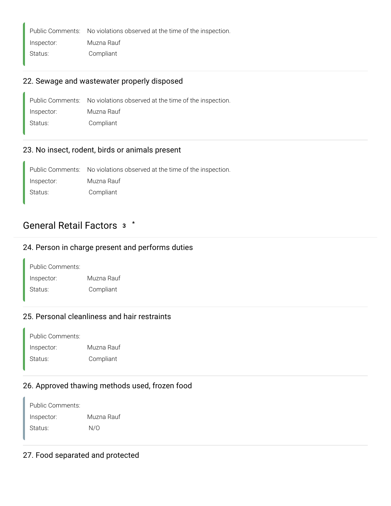Public Comments: No violations observed at the time of the inspection.

Inspector: Muzna Rauf

# Status: Compliant

# 22. Sewage and wastewater properly disposed

|            | Public Comments: No violations observed at the time of the inspection. |
|------------|------------------------------------------------------------------------|
| Inspector: | Muzna Rauf                                                             |
| Status:    | Compliant                                                              |

#### 23. No insect, rodent, birds or animals present

Public Comments: No violations observed at the time of the inspection. Inspector: Muzna Rauf Status: Compliant

# General Retail Factors **<sup>3</sup> \***

#### 24. Person in charge present and performs duties

| Public Comments: |            |
|------------------|------------|
| Inspector:       | Muzna Rauf |
| Status:          | Compliant  |

#### 25. Personal cleanliness and hair restraints

| Public Comments: |            |
|------------------|------------|
| Inspector:       | Muzna Rauf |
| Status:          | Compliant  |

#### 26. Approved thawing methods used, frozen food

| Public Comments: |            |
|------------------|------------|
| Inspector:       | Muzna Rauf |
| Status:          | N/O        |

#### 27. Food separated and protected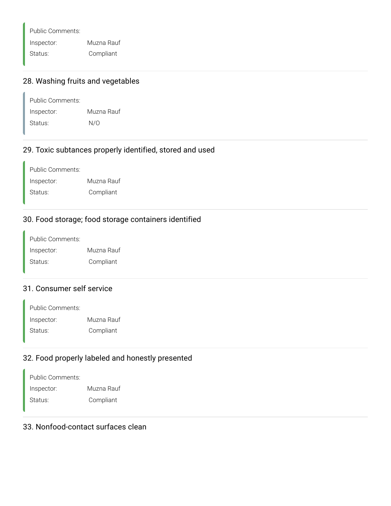Public Comments: Inspector: Muzna Rauf

Status: Compliant

# 28. Washing fruits and vegetables

| Public Comments: |            |
|------------------|------------|
| Inspector:       | Muzna Rauf |
| Status:          | N/O        |

#### 29. Toxic subtances properly identified, stored and used

Public Comments: Inspector: Muzna Rauf Status: Compliant

# 30. Food storage; food storage containers identified

Public Comments: Inspector: Muzna Rauf Status: Compliant

#### 31. Consumer self service

| Public Comments: |            |
|------------------|------------|
| Inspector:       | Muzna Rauf |
| Status:          | Compliant  |

#### 32. Food properly labeled and honestly presented

| Public Comments: |            |
|------------------|------------|
| Inspector:       | Muzna Rauf |
| Status:          | Compliant  |

### 33. Nonfood-contact surfaces clean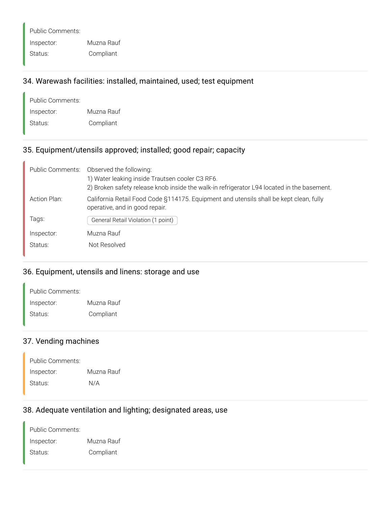Public Comments: Inspector: Muzna Rauf Status: Compliant

#### 34. Warewash facilities: installed, maintained, used; test equipment

| Public Comments: |            |
|------------------|------------|
| Inspector:       | Muzna Rauf |
| Status:          | Compliant  |

#### 35. Equipment/utensils approved; installed; good repair; capacity

|              | Public Comments: Observed the following:                                                                                 |  |
|--------------|--------------------------------------------------------------------------------------------------------------------------|--|
|              | 1) Water leaking inside Trautsen cooler C3 RF6.                                                                          |  |
|              | 2) Broken safety release knob inside the walk-in refrigerator L94 located in the basement.                               |  |
| Action Plan: | California Retail Food Code §114175. Equipment and utensils shall be kept clean, fully<br>operative, and in good repair. |  |
| Tags:        | General Retail Violation (1 point)                                                                                       |  |
| Inspector:   | Muzna Rauf                                                                                                               |  |
| Status:      | Not Resolved                                                                                                             |  |

# 36. Equipment, utensils and linens: storage and use

| Public Comments: |            |
|------------------|------------|
| Inspector:       | Muzna Rauf |
| Status:          | Compliant  |

#### 37. Vending machines

| Public Comments: |            |
|------------------|------------|
| Inspector:       | Muzna Rauf |
| Status:          | N/A        |

### 38. Adequate ventilation and lighting; designated areas, use

| Public Comments: |            |
|------------------|------------|
| Inspector:       | Muzna Rauf |
| Status:          | Compliant  |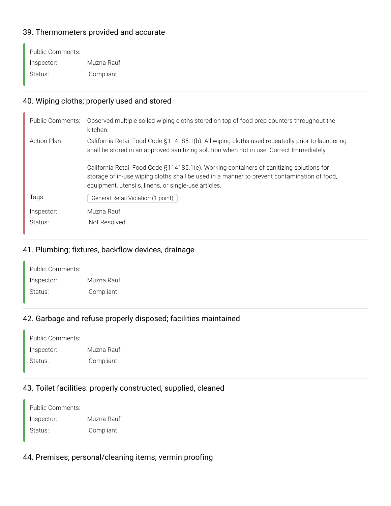#### 39. Thermometers provided and accurate

| Public Comments: |            |
|------------------|------------|
| Inspector:       | Muzna Rauf |
| Status:          | Compliant  |

### 40. Wiping cloths; properly used and stored

| Public Comments: | Observed multiple soiled wiping cloths stored on top of food prep counters throughout the<br>kitchen.                                                                                                                                           |
|------------------|-------------------------------------------------------------------------------------------------------------------------------------------------------------------------------------------------------------------------------------------------|
| Action Plan:     | California Retail Food Code §114185.1(b). All wiping cloths used repeatedly prior to laundering<br>shall be stored in an approved sanitizing solution when not in use. Correct Immediately.                                                     |
|                  | California Retail Food Code §114185.1(e). Working containers of sanitizing solutions for<br>storage of in-use wiping cloths shall be used in a manner to prevent contamination of food,<br>equipment, utensils, linens, or single-use articles. |
| Tags:            | General Retail Violation (1 point)                                                                                                                                                                                                              |
| Inspector:       | Muzna Rauf                                                                                                                                                                                                                                      |
| Status:          | Not Resolved                                                                                                                                                                                                                                    |

### 41. Plumbing; fixtures, backflow devices, drainage

| Public Comments: |            |
|------------------|------------|
| Inspector:       | Muzna Rauf |
| Status:          | Compliant  |

### 42. Garbage and refuse properly disposed; facilities maintained

| Public Comments: |            |
|------------------|------------|
| Inspector:       | Muzna Rauf |
| Status:          | Compliant  |

# 43. Toilet facilities: properly constructed, supplied, cleaned

| Public Comments: |            |
|------------------|------------|
| Inspector:       | Muzna Rauf |
| Status:          | Compliant  |

#### 44. Premises; personal/cleaning items; vermin proofing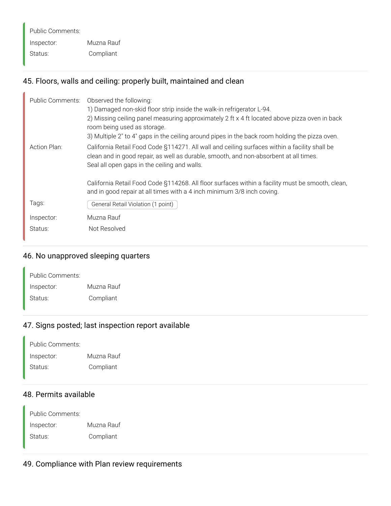Public Comments: Inspector: Muzna Rauf Status: Compliant

#### 45. Floors, walls and ceiling: properly built, maintained and clean

| <b>Public Comments:</b> | Observed the following:<br>1) Damaged non-skid floor strip inside the walk-in refrigerator L-94.<br>2) Missing ceiling panel measuring approximately 2 ft x 4 ft located above pizza oven in back<br>room being used as storage.<br>3) Multiple 2" to 4" gaps in the ceiling around pipes in the back room holding the pizza oven. |
|-------------------------|------------------------------------------------------------------------------------------------------------------------------------------------------------------------------------------------------------------------------------------------------------------------------------------------------------------------------------|
| Action Plan:            | California Retail Food Code §114271. All wall and ceiling surfaces within a facility shall be<br>clean and in good repair, as well as durable, smooth, and non-absorbent at all times.<br>Seal all open gaps in the ceiling and walls.                                                                                             |
|                         | California Retail Food Code §114268. All floor surfaces within a facility must be smooth, clean,<br>and in good repair at all times with a 4 inch minimum 3/8 inch coving.                                                                                                                                                         |
| Tags:                   | General Retail Violation (1 point)                                                                                                                                                                                                                                                                                                 |
| Inspector:              | Muzna Rauf                                                                                                                                                                                                                                                                                                                         |
| Status:                 | Not Resolved                                                                                                                                                                                                                                                                                                                       |

#### 46. No unapproved sleeping quarters

| Public Comments: |            |
|------------------|------------|
| Inspector:       | Muzna Rauf |
| Status:          | Compliant  |

#### 47. Signs posted; last inspection report available

| Public Comments: |            |
|------------------|------------|
| Inspector:       | Muzna Rauf |
| Status:          | Compliant  |

### 48. Permits available

Public Comments: Inspector: Muzna Rauf Status: Compliant

#### 49. Compliance with Plan review requirements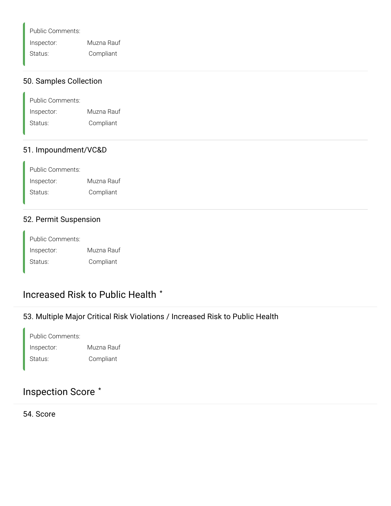Public Comments:

Inspector: Muzna Rauf

Status: Compliant

#### 50. Samples Collection

| Public Comments: |            |
|------------------|------------|
| Inspector:       | Muzna Rauf |
| Status:          | Compliant  |

#### 51. Impoundment/VC&D

| Public Comments: |            |
|------------------|------------|
| Inspector:       | Muzna Rauf |
| Status:          | Compliant  |

#### 52. Permit Suspension

Public Comments: Inspector: Muzna Rauf Status: Compliant

# Increased Risk to Public Health **\***

#### 53. Multiple Major Critical Risk Violations / Increased Risk to Public Health

| Public Comments: |            |
|------------------|------------|
| Inspector:       | Muzna Rauf |
| Status:          | Compliant  |

### Inspection Score **\***

54. Score